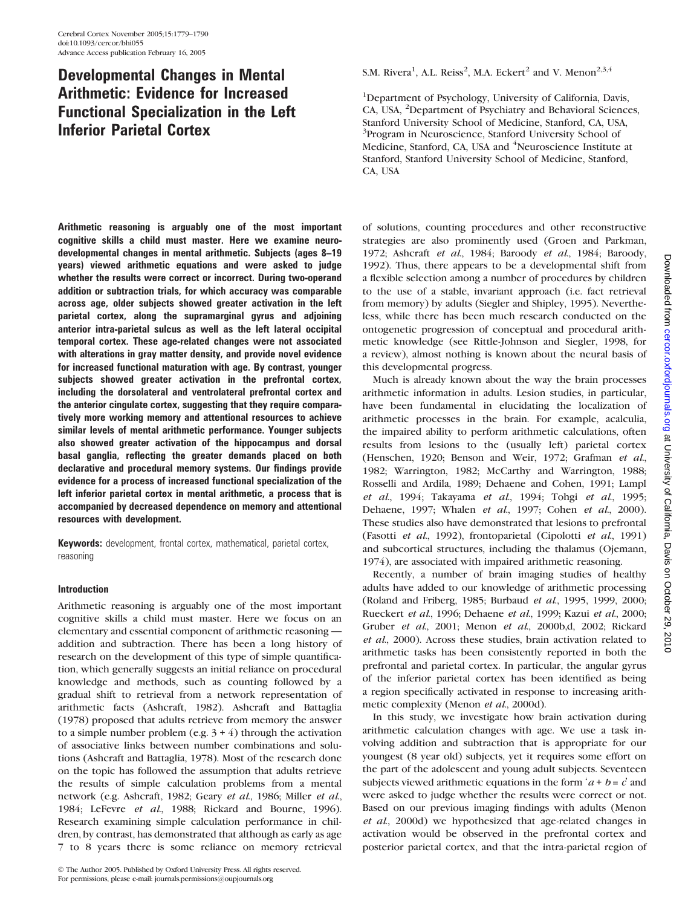# Developmental Changes in Mental Arithmetic: Evidence for Increased Functional Specialization in the Left Inferior Parietal Cortex

Arithmetic reasoning is arguably one of the most important cognitive skills a child must master. Here we examine neurodevelopmental changes in mental arithmetic. Subjects (ages 8–19 years) viewed arithmetic equations and were asked to judge whether the results were correct or incorrect. During two-operand addition or subtraction trials, for which accuracy was comparable across age, older subjects showed greater activation in the left parietal cortex, along the supramarginal gyrus and adjoining anterior intra-parietal sulcus as well as the left lateral occipital temporal cortex. These age-related changes were not associated with alterations in gray matter density, and provide novel evidence for increased functional maturation with age. By contrast, younger subjects showed greater activation in the prefrontal cortex, including the dorsolateral and ventrolateral prefrontal cortex and the anterior cingulate cortex, suggesting that they require comparatively more working memory and attentional resources to achieve similar levels of mental arithmetic performance. Younger subjects also showed greater activation of the hippocampus and dorsal basal ganglia, reflecting the greater demands placed on both declarative and procedural memory systems. Our findings provide evidence for a process of increased functional specialization of the left inferior parietal cortex in mental arithmetic, a process that is accompanied by decreased dependence on memory and attentional resources with development.

Keywords: development, frontal cortex, mathematical, parietal cortex, reasoning

# Introduction

Arithmetic reasoning is arguably one of the most important cognitive skills a child must master. Here we focus on an elementary and essential component of arithmetic reasoning addition and subtraction. There has been a long history of research on the development of this type of simple quantification, which generally suggests an initial reliance on procedural knowledge and methods, such as counting followed by a gradual shift to retrieval from a network representation of arithmetic facts (Ashcraft, 1982). Ashcraft and Battaglia (1978) proposed that adults retrieve from memory the answer to a simple number problem (e.g.  $3 + 4$ ) through the activation of associative links between number combinations and solutions (Ashcraft and Battaglia, 1978). Most of the research done on the topic has followed the assumption that adults retrieve the results of simple calculation problems from a mental network (e.g. Ashcraft, 1982; Geary et al., 1986; Miller et al., 1984; LeFevre et al., 1988; Rickard and Bourne, 1996). Research examining simple calculation performance in children, by contrast, has demonstrated that although as early as age 7 to 8 years there is some reliance on memory retrieval

S.M. Rivera<sup>1</sup>, A.L. Reiss<sup>2</sup>, M.A. Eckert<sup>2</sup> and V. Menon<sup>2,3,4</sup>

<sup>1</sup>Department of Psychology, University of California, Davis, CA, USA, <sup>2</sup> Department of Psychiatry and Behavioral Sciences, Stanford University School of Medicine, Stanford, CA, USA, 3 Program in Neuroscience, Stanford University School of Medicine, Stanford, CA, USA and <sup>4</sup>Neuroscience Institute at Stanford, Stanford University School of Medicine, Stanford, CA, USA

of solutions, counting procedures and other reconstructive strategies are also prominently used (Groen and Parkman, 1972; Ashcraft et al., 1984; Baroody et al., 1984; Baroody, 1992). Thus, there appears to be a developmental shift from a flexible selection among a number of procedures by children to the use of a stable, invariant approach (i.e. fact retrieval from memory) by adults (Siegler and Shipley, 1995). Nevertheless, while there has been much research conducted on the ontogenetic progression of conceptual and procedural arithmetic knowledge (see Rittle-Johnson and Siegler, 1998, for a review), almost nothing is known about the neural basis of this developmental progress.

Much is already known about the way the brain processes arithmetic information in adults. Lesion studies, in particular, have been fundamental in elucidating the localization of arithmetic processes in the brain. For example, acalculia, the impaired ability to perform arithmetic calculations, often results from lesions to the (usually left) parietal cortex (Henschen, 1920; Benson and Weir, 1972; Grafman et al., 1982; Warrington, 1982; McCarthy and Warrington, 1988; Rosselli and Ardila, 1989; Dehaene and Cohen, 1991; Lampl et al., 1994; Takayama et al., 1994; Tohgi et al., 1995; Dehaene, 1997; Whalen et al., 1997; Cohen et al., 2000). These studies also have demonstrated that lesions to prefrontal (Fasotti et al., 1992), frontoparietal (Cipolotti et al., 1991) and subcortical structures, including the thalamus (Ojemann, 1974), are associated with impaired arithmetic reasoning.

Recently, a number of brain imaging studies of healthy adults have added to our knowledge of arithmetic processing (Roland and Friberg, 1985; Burbaud et al., 1995, 1999, 2000; Rueckert et al., 1996; Dehaene et al., 1999; Kazui et al., 2000; Gruber et al., 2001; Menon et al., 2000b,d, 2002; Rickard et al., 2000). Across these studies, brain activation related to arithmetic tasks has been consistently reported in both the prefrontal and parietal cortex. In particular, the angular gyrus of the inferior parietal cortex has been identified as being a region specifically activated in response to increasing arithmetic complexity (Menon et al., 2000d).

In this study, we investigate how brain activation during arithmetic calculation changes with age. We use a task involving addition and subtraction that is appropriate for our youngest (8 year old) subjects, yet it requires some effort on the part of the adolescent and young adult subjects. Seventeen subjects viewed arithmetic equations in the form  $a + b = c$  and were asked to judge whether the results were correct or not. Based on our previous imaging findings with adults (Menon et al., 2000d) we hypothesized that age-related changes in activation would be observed in the prefrontal cortex and posterior parietal cortex, and that the intra-parietal region of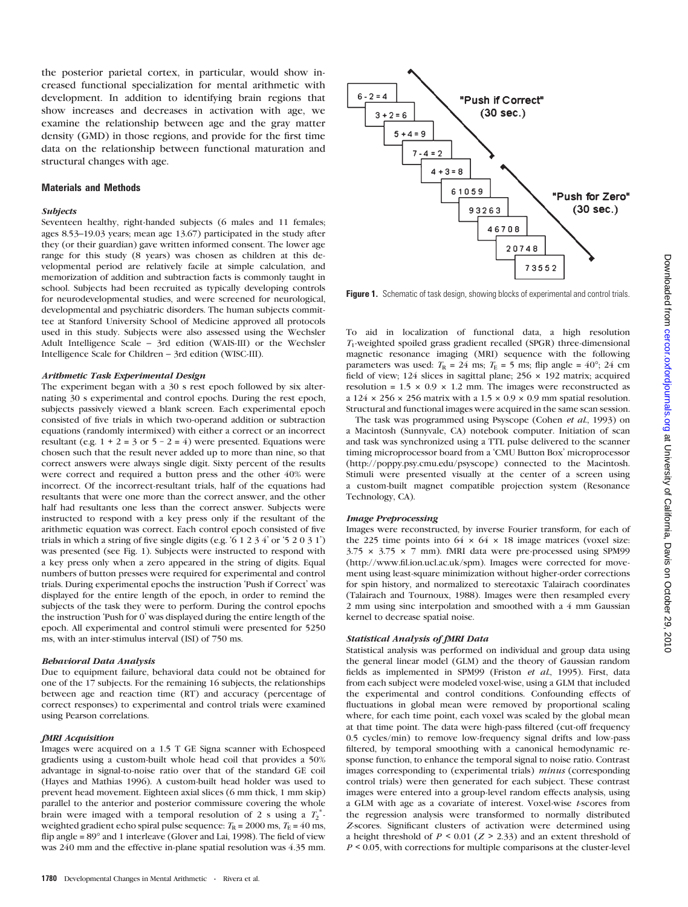the posterior parietal cortex, in particular, would show increased functional specialization for mental arithmetic with development. In addition to identifying brain regions that show increases and decreases in activation with age, we examine the relationship between age and the gray matter density (GMD) in those regions, and provide for the first time data on the relationship between functional maturation and structural changes with age.

# Materials and Methods

## Subjects

Seventeen healthy, right-handed subjects (6 males and 11 females; ages 8.53–19.03 years; mean age 13.67) participated in the study after they (or their guardian) gave written informed consent. The lower age range for this study (8 years) was chosen as children at this developmental period are relatively facile at simple calculation, and memorization of addition and subtraction facts is commonly taught in school. Subjects had been recruited as typically developing controls for neurodevelopmental studies, and were screened for neurological, developmental and psychiatric disorders. The human subjects committee at Stanford University School of Medicine approved all protocols used in this study. Subjects were also assessed using the Wechsler Adult Intelligence Scale – 3rd edition (WAIS-III) or the Wechsler Intelligence Scale for Children – 3rd edition (WISC-III).

### Arithmetic Task Experimental Design

The experiment began with a 30 s rest epoch followed by six alternating 30 s experimental and control epochs. During the rest epoch, subjects passively viewed a blank screen. Each experimental epoch consisted of five trials in which two-operand addition or subtraction equations (randomly intermixed) with either a correct or an incorrect resultant (e.g.  $1 + 2 = 3$  or  $5 - 2 = 4$ ) were presented. Equations were chosen such that the result never added up to more than nine, so that correct answers were always single digit. Sixty percent of the results were correct and required a button press and the other 40% were incorrect. Of the incorrect-resultant trials, half of the equations had resultants that were one more than the correct answer, and the other half had resultants one less than the correct answer. Subjects were instructed to respond with a key press only if the resultant of the arithmetic equation was correct. Each control epoch consisted of five trials in which a string of five single digits (e.g. '6 1 2 3 4' or '5 2 0 3 1') was presented (see Fig. 1). Subjects were instructed to respond with a key press only when a zero appeared in the string of digits. Equal numbers of button presses were required for experimental and control trials. During experimental epochs the instruction 'Push if Correct' was displayed for the entire length of the epoch, in order to remind the subjects of the task they were to perform. During the control epochs the instruction 'Push for 0' was displayed during the entire length of the epoch. All experimental and control stimuli were presented for 5250 ms, with an inter-stimulus interval (ISI) of 750 ms.

## Behavioral Data Analysis

Due to equipment failure, behavioral data could not be obtained for one of the 17 subjects. For the remaining 16 subjects, the relationships between age and reaction time (RT) and accuracy (percentage of correct responses) to experimental and control trials were examined using Pearson correlations.

# fMRI Acquisition

Images were acquired on a 1.5 T GE Signa scanner with Echospeed gradients using a custom-built whole head coil that provides a 50% advantage in signal-to-noise ratio over that of the standard GE coil (Hayes and Mathias 1996). A custom-built head holder was used to prevent head movement. Eighteen axial slices (6 mm thick, 1 mm skip) parallel to the anterior and posterior commissure covering the whole brain were imaged with a temporal resolution of 2 s using a  $T_2^*$ . weighted gradient echo spiral pulse sequence:  $T_R = 2000$  ms,  $T_E = 40$  ms, flip angle = 89° and 1 interleave (Glover and Lai, 1998). The field of view was 240 mm and the effective in-plane spatial resolution was 4.35 mm.



Figure 1. Schematic of task design, showing blocks of experimental and control trials.

To aid in localization of functional data, a high resolution  $T_1$ -weighted spoiled grass gradient recalled (SPGR) three-dimensional magnetic resonance imaging (MRI) sequence with the following parameters was used:  $T_R = 24$  ms;  $T_E = 5$  ms; flip angle =  $40^{\circ}$ ; 24 cm field of view; 124 slices in sagittal plane;  $256 \times 192$  matrix; acquired resolution =  $1.5 \times 0.9 \times 1.2$  mm. The images were reconstructed as a 124  $\times$  256  $\times$  256 matrix with a 1.5  $\times$  0.9  $\times$  0.9 mm spatial resolution. Structural and functional images were acquired in the same scan session.

The task was programmed using Psyscope (Cohen et al., 1993) on a Macintosh (Sunnyvale, CA) notebook computer. Initiation of scan and task was synchronized using a TTL pulse delivered to the scanner timing microprocessor board from a 'CMU Button Box' microprocessor [\(http://poppy.psy.cmu.edu/psyscope\)](http://poppy.psy.cmu.edu/psyscope) connected to the Macintosh. Stimuli were presented visually at the center of a screen using a custom-built magnet compatible projection system (Resonance Technology, CA).

# Image Preprocessing

Images were reconstructed, by inverse Fourier transform, for each of the 225 time points into  $64 \times 64 \times 18$  image matrices (voxel size:  $3.75 \times 3.75 \times 7$  mm). fMRI data were pre-processed using SPM99 [\(http://www.fil.ion.ucl.ac.uk/spm\)](http://www.fil.ion.ucl.ac.uk/spm). Images were corrected for movement using least-square minimization without higher-order corrections for spin history, and normalized to stereotaxic Talairach coordinates (Talairach and Tournoux, 1988). Images were then resampled every 2 mm using sinc interpolation and smoothed with a 4 mm Gaussian kernel to decrease spatial noise.

# Statistical Analysis of fMRI Data

Statistical analysis was performed on individual and group data using the general linear model (GLM) and the theory of Gaussian random fields as implemented in SPM99 (Friston et al., 1995). First, data from each subject were modeled voxel-wise, using a GLM that included the experimental and control conditions. Confounding effects of fluctuations in global mean were removed by proportional scaling where, for each time point, each voxel was scaled by the global mean at that time point. The data were high-pass filtered (cut-off frequency 0.5 cycles/min) to remove low-frequency signal drifts and low-pass filtered, by temporal smoothing with a canonical hemodynamic response function, to enhance the temporal signal to noise ratio. Contrast images corresponding to (experimental trials) minus (corresponding control trials) were then generated for each subject. These contrast images were entered into a group-level random effects analysis, using a GLM with age as a covariate of interest. Voxel-wise t-scores from the regression analysis were transformed to normally distributed Z-scores. Significant clusters of activation were determined using a height threshold of  $P \le 0.01$  ( $Z \ge 2.33$ ) and an extent threshold of  $P < 0.05$ , with corrections for multiple comparisons at the cluster-level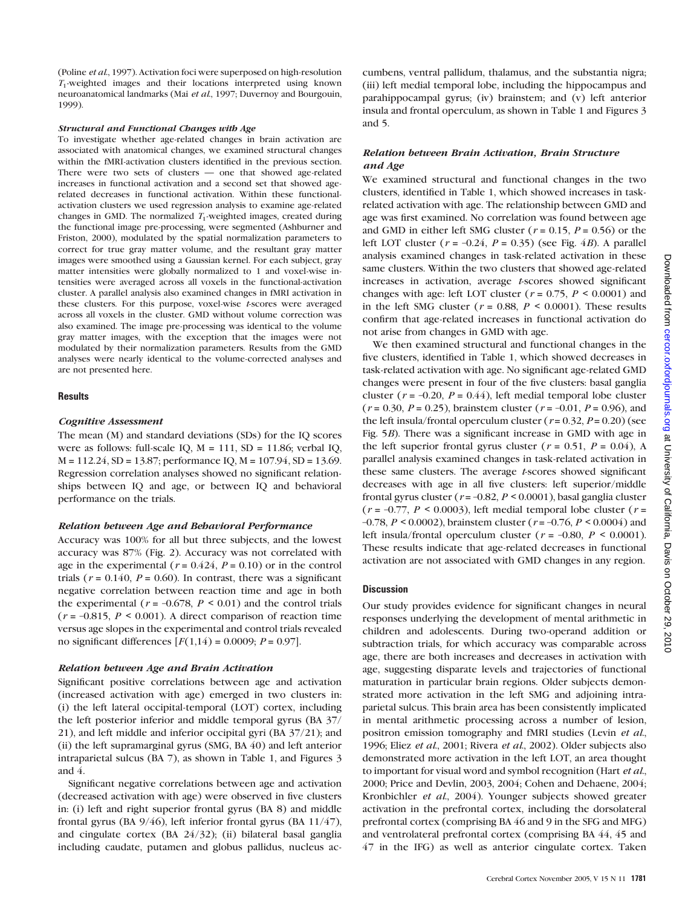(Poline et al., 1997). Activation foci were superposed on high-resolution  $T_1$ -weighted images and their locations interpreted using known neuroanatomical landmarks (Mai et al., 1997; Duvernoy and Bourgouin, 1999).

#### Structural and Functional Changes with Age

To investigate whether age-related changes in brain activation are associated with anatomical changes, we examined structural changes within the fMRI-activation clusters identified in the previous section. There were two sets of clusters — one that showed age-related increases in functional activation and a second set that showed agerelated decreases in functional activation. Within these functionalactivation clusters we used regression analysis to examine age-related changes in GMD. The normalized  $T_1$ -weighted images, created during the functional image pre-processing, were segmented (Ashburner and Friston, 2000), modulated by the spatial normalization parameters to correct for true gray matter volume, and the resultant gray matter images were smoothed using a Gaussian kernel. For each subject, gray matter intensities were globally normalized to 1 and voxel-wise intensities were averaged across all voxels in the functional-activation cluster. A parallel analysis also examined changes in fMRI activation in these clusters. For this purpose, voxel-wise *t*-scores were averaged across all voxels in the cluster. GMD without volume correction was also examined. The image pre-processing was identical to the volume gray matter images, with the exception that the images were not modulated by their normalization parameters. Results from the GMD analyses were nearly identical to the volume-corrected analyses and are not presented here.

# **Results**

#### Cognitive Assessment

The mean (M) and standard deviations (SDs) for the IQ scores were as follows: full-scale IQ,  $M = 111$ ,  $SD = 11.86$ ; verbal IQ, M = 112.24, SD = 13.87; performance IQ, M = 107.94, SD = 13.69. Regression correlation analyses showed no significant relationships between IQ and age, or between IQ and behavioral performance on the trials.

## Relation between Age and Behavioral Performance

Accuracy was 100% for all but three subjects, and the lowest accuracy was 87% (Fig. 2). Accuracy was not correlated with age in the experimental ( $r = 0.424$ ,  $P = 0.10$ ) or in the control trials ( $r = 0.140$ ,  $P = 0.60$ ). In contrast, there was a significant negative correlation between reaction time and age in both the experimental ( $r = -0.678$ ,  $P < 0.01$ ) and the control trials ( $r = -0.815$ ,  $P \le 0.001$ ). A direct comparison of reaction time versus age slopes in the experimental and control trials revealed no significant differences  $[F(1,14) = 0.0009; P = 0.97]$ .

# Relation between Age and Brain Activation

Significant positive correlations between age and activation (increased activation with age) emerged in two clusters in: (i) the left lateral occipital-temporal (LOT) cortex, including the left posterior inferior and middle temporal gyrus (BA 37/ 21), and left middle and inferior occipital gyri (BA 37/21); and (ii) the left supramarginal gyrus (SMG, BA 40) and left anterior intraparietal sulcus (BA 7), as shown in Table 1, and Figures 3 and 4.

Significant negative correlations between age and activation (decreased activation with age) were observed in five clusters in: (i) left and right superior frontal gyrus (BA 8) and middle frontal gyrus (BA 9/46), left inferior frontal gyrus (BA 11/47), and cingulate cortex (BA 24/32); (ii) bilateral basal ganglia including caudate, putamen and globus pallidus, nucleus accumbens, ventral pallidum, thalamus, and the substantia nigra; (iii) left medial temporal lobe, including the hippocampus and parahippocampal gyrus; (iv) brainstem; and (v) left anterior insula and frontal operculum, as shown in Table 1 and Figures 3 and 5.

# Relation between Brain Activation, Brain Structure and Age

We examined structural and functional changes in the two clusters, identified in Table 1, which showed increases in taskrelated activation with age. The relationship between GMD and age was first examined. No correlation was found between age and GMD in either left SMG cluster ( $r = 0.15$ ,  $P = 0.56$ ) or the left LOT cluster  $(r = -0.24, P = 0.35)$  (see Fig. 4*B*). A parallel analysis examined changes in task-related activation in these same clusters. Within the two clusters that showed age-related increases in activation, average t-scores showed significant changes with age: left LOT cluster ( $r = 0.75$ ,  $P < 0.0001$ ) and in the left SMG cluster ( $r = 0.88$ ,  $P < 0.0001$ ). These results confirm that age-related increases in functional activation do not arise from changes in GMD with age.

We then examined structural and functional changes in the five clusters, identified in Table 1, which showed decreases in task-related activation with age. No significant age-related GMD changes were present in four of the five clusters: basal ganglia cluster ( $r = -0.20$ ,  $P = 0.44$ ), left medial temporal lobe cluster  $(r = 0.30, P = 0.25)$ , brainstem cluster  $(r = -0.01, P = 0.96)$ , and the left insula/frontal operculum cluster ( $r = 0.32$ ,  $P = 0.20$ ) (see Fig. 5B). There was a significant increase in GMD with age in the left superior frontal gyrus cluster ( $r = 0.51$ ,  $P = 0.04$ ), A parallel analysis examined changes in task-related activation in these same clusters. The average  $t$ -scores showed significant decreases with age in all five clusters: left superior/middle frontal gyrus cluster ( $r = -0.82$ ,  $P < 0.0001$ ), basal ganglia cluster  $(r = -0.77, P \le 0.0003)$ , left medial temporal lobe cluster  $(r =$  $-0.78$ ,  $P < 0.0002$ ), brainstem cluster ( $r = -0.76$ ,  $P < 0.0004$ ) and left insula/frontal operculum cluster ( $r = -0.80$ ,  $P < 0.0001$ ). These results indicate that age-related decreases in functional activation are not associated with GMD changes in any region.

## **Discussion**

Our study provides evidence for significant changes in neural responses underlying the development of mental arithmetic in children and adolescents. During two-operand addition or subtraction trials, for which accuracy was comparable across age, there are both increases and decreases in activation with age, suggesting disparate levels and trajectories of functional maturation in particular brain regions. Older subjects demonstrated more activation in the left SMG and adjoining intraparietal sulcus. This brain area has been consistently implicated in mental arithmetic processing across a number of lesion, positron emission tomography and fMRI studies (Levin et al., 1996; Eliez et al., 2001; Rivera et al., 2002). Older subjects also demonstrated more activation in the left LOT, an area thought to important for visual word and symbol recognition (Hart et al., 2000; Price and Devlin, 2003, 2004; Cohen and Dehaene, 2004; Kronbichler et al., 2004). Younger subjects showed greater activation in the prefrontal cortex, including the dorsolateral prefrontal cortex (comprising BA 46 and 9 in the SFG and MFG) and ventrolateral prefrontal cortex (comprising BA 44, 45 and 47 in the IFG) as well as anterior cingulate cortex. Taken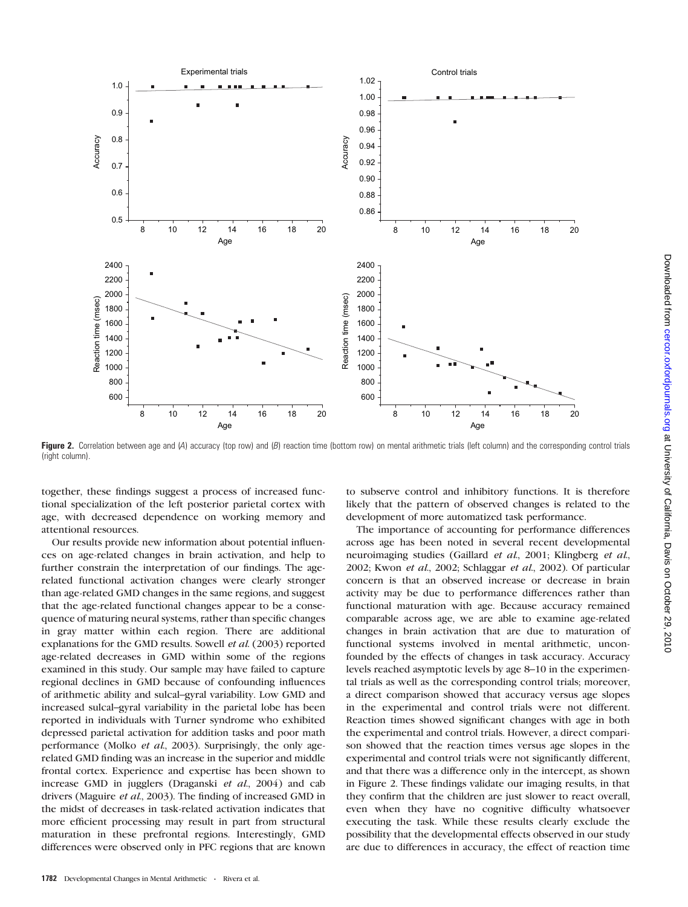

Figure 2. Correlation between age and  $(A)$  accuracy (top row) and  $(B)$  reaction time (bottom row) on mental arithmetic trials (left column) and the corresponding control trials (right column).

together, these findings suggest a process of increased functional specialization of the left posterior parietal cortex with age, with decreased dependence on working memory and attentional resources.

Our results provide new information about potential influences on age-related changes in brain activation, and help to further constrain the interpretation of our findings. The agerelated functional activation changes were clearly stronger than age-related GMD changes in the same regions, and suggest that the age-related functional changes appear to be a consequence of maturing neural systems, rather than specific changes in gray matter within each region. There are additional explanations for the GMD results. Sowell et al. (2003) reported age-related decreases in GMD within some of the regions examined in this study. Our sample may have failed to capture regional declines in GMD because of confounding influences of arithmetic ability and sulcal–gyral variability. Low GMD and increased sulcal–gyral variability in the parietal lobe has been reported in individuals with Turner syndrome who exhibited depressed parietal activation for addition tasks and poor math performance (Molko et al., 2003). Surprisingly, the only agerelated GMD finding was an increase in the superior and middle frontal cortex. Experience and expertise has been shown to increase GMD in jugglers (Draganski et al., 2004) and cab drivers (Maguire et al., 2003). The finding of increased GMD in the midst of decreases in task-related activation indicates that more efficient processing may result in part from structural maturation in these prefrontal regions. Interestingly, GMD differences were observed only in PFC regions that are known

to subserve control and inhibitory functions. It is therefore likely that the pattern of observed changes is related to the development of more automatized task performance.

The importance of accounting for performance differences across age has been noted in several recent developmental neuroimaging studies (Gaillard *et al.*, 2001; Klingberg *et al.*, 2002; Kwon et al., 2002; Schlaggar et al., 2002). Of particular concern is that an observed increase or decrease in brain activity may be due to performance differences rather than functional maturation with age. Because accuracy remained comparable across age, we are able to examine age-related changes in brain activation that are due to maturation of functional systems involved in mental arithmetic, unconfounded by the effects of changes in task accuracy. Accuracy levels reached asymptotic levels by age 8–10 in the experimental trials as well as the corresponding control trials; moreover, a direct comparison showed that accuracy versus age slopes in the experimental and control trials were not different. Reaction times showed significant changes with age in both the experimental and control trials. However, a direct comparison showed that the reaction times versus age slopes in the experimental and control trials were not significantly different, and that there was a difference only in the intercept, as shown in Figure 2. These findings validate our imaging results, in that they confirm that the children are just slower to react overall, even when they have no cognitive difficulty whatsoever executing the task. While these results clearly exclude the possibility that the developmental effects observed in our study are due to differences in accuracy, the effect of reaction time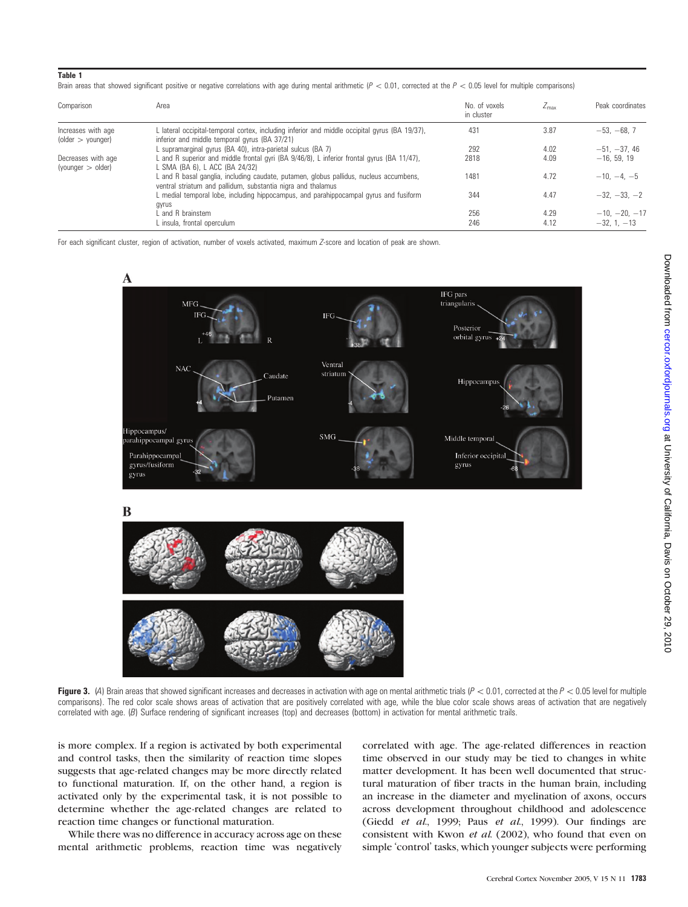## Table 1

Brain areas that showed significant positive or negative correlations with age during mental arithmetic  $(P < 0.01$ , corrected at the  $P < 0.05$  level for multiple comparisons)

| Comparison                                                     | Area                                                                                                                                                 | No. of voxels<br>in cluster | $Z_{\text{max}}$ | Peak coordinates |
|----------------------------------------------------------------|------------------------------------------------------------------------------------------------------------------------------------------------------|-----------------------------|------------------|------------------|
| Increases with age<br>$\text{(older} > \text{vounger)}$        | L lateral occipital-temporal cortex, including inferior and middle occipital gyrus (BA 19/37),<br>inferior and middle temporal gyrus (BA 37/21)      | 431                         | 3.87             | $-53. -68.7$     |
|                                                                | L supramarginal gyrus (BA 40), intra-parietal sulcus (BA 7)                                                                                          | 292                         | 4.02             | $-51, -37, 46$   |
| Decreases with age<br>$\frac{1}{\sqrt{2}}$ (younger $>$ older) | and R superior and middle frontal gyri (BA 9/46/8), L inferior frontal gyrus (BA 11/47),<br>L SMA (BA 6), L ACC (BA 24/32)                           | 2818                        | 4.09             | $-16, 59, 19$    |
|                                                                | and R basal ganglia, including caudate, putamen, globus pallidus, nucleus accumbens,<br>ventral striatum and pallidum, substantia nigra and thalamus | 1481                        | 4.72             | $-10, -4, -5$    |
|                                                                | L medial temporal lobe, including hippocampus, and parahippocampal gyrus and fusiform<br>gyrus                                                       | 344                         | 4.47             | $-32, -33, -2$   |
|                                                                | and R brainstem                                                                                                                                      | 256                         | 4.29             | $-10, -20, -17$  |
|                                                                | L insula, frontal operculum                                                                                                                          | 246                         | 4.12             | $-32.1 - 13$     |

For each significant cluster, region of activation, number of voxels activated, maximum Z-score and location of peak are shown.



Figure 3. (A) Brain areas that showed significant increases and decreases in activation with age on mental arithmetic trials  $(P< 0.01$ , corrected at the  $P< 0.05$  level for multiple comparisons). The red color scale shows areas of activation that are positively correlated with age, while the blue color scale shows areas of activation that are negatively correlated with age. (B) Surface rendering of significant increases (top) and decreases (bottom) in activation for mental arithmetic trails.

is more complex. If a region is activated by both experimental and control tasks, then the similarity of reaction time slopes suggests that age-related changes may be more directly related to functional maturation. If, on the other hand, a region is activated only by the experimental task, it is not possible to determine whether the age-related changes are related to reaction time changes or functional maturation.

While there was no difference in accuracy across age on these mental arithmetic problems, reaction time was negatively correlated with age. The age-related differences in reaction time observed in our study may be tied to changes in white matter development. It has been well documented that structural maturation of fiber tracts in the human brain, including an increase in the diameter and myelination of axons, occurs across development throughout childhood and adolescence (Giedd et al., 1999; Paus et al., 1999). Our findings are consistent with Kwon et al. (2002), who found that even on simple 'control' tasks, which younger subjects were performing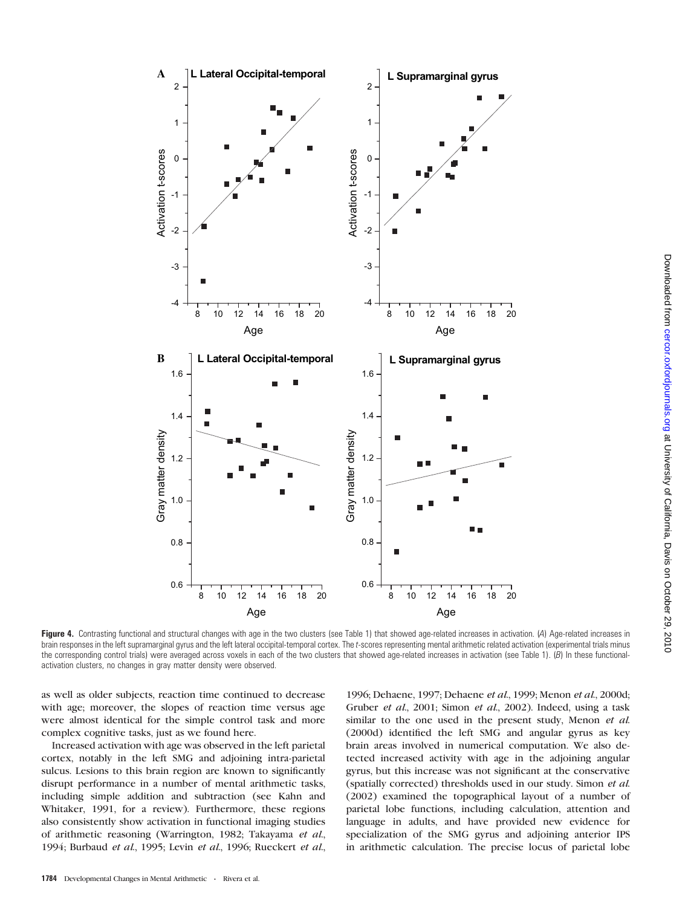

Figure 4. Contrasting functional and structural changes with age in the two clusters (see Table 1) that showed age-related increases in activation. (A) Age-related increases in brain responses in the left supramarginal gyrus and the left lateral occipital-temporal cortex. The t-scores representing mental arithmetic related activation (experimental trials minus the corresponding control trials) were averaged across voxels in each of the two clusters that showed age-related increases in activation (see Table 1). (B) In these functionalactivation clusters, no changes in gray matter density were observed.

as well as older subjects, reaction time continued to decrease with age; moreover, the slopes of reaction time versus age were almost identical for the simple control task and more complex cognitive tasks, just as we found here.

Increased activation with age was observed in the left parietal cortex, notably in the left SMG and adjoining intra-parietal sulcus. Lesions to this brain region are known to significantly disrupt performance in a number of mental arithmetic tasks, including simple addition and subtraction (see Kahn and Whitaker, 1991, for a review). Furthermore, these regions also consistently show activation in functional imaging studies of arithmetic reasoning (Warrington, 1982; Takayama et al., 1994; Burbaud et al., 1995; Levin et al., 1996; Rueckert et al., 1996; Dehaene, 1997; Dehaene et al., 1999; Menon et al., 2000d; Gruber et al., 2001; Simon et al., 2002). Indeed, using a task similar to the one used in the present study, Menon et al. (2000d) identified the left SMG and angular gyrus as key brain areas involved in numerical computation. We also detected increased activity with age in the adjoining angular gyrus, but this increase was not significant at the conservative (spatially corrected) thresholds used in our study. Simon et al. (2002) examined the topographical layout of a number of parietal lobe functions, including calculation, attention and language in adults, and have provided new evidence for specialization of the SMG gyrus and adjoining anterior IPS in arithmetic calculation. The precise locus of parietal lobe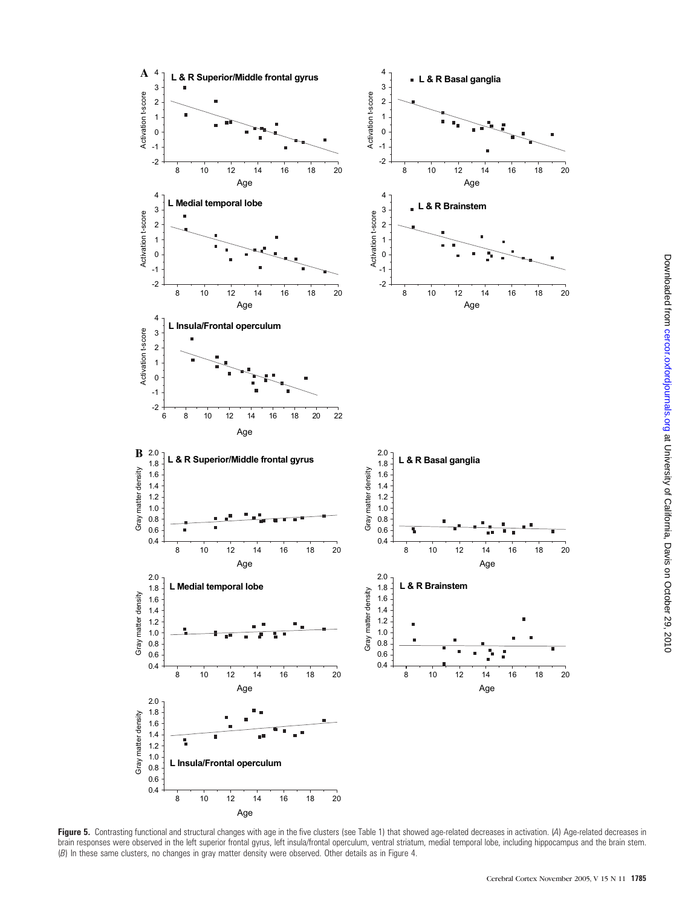

Figure 5. Contrasting functional and structural changes with age in the five clusters (see Table 1) that showed age-related decreases in activation. (A) Age-related decreases in brain responses were observed in the left superior frontal gyrus, left insula/frontal operculum, ventral striatum, medial temporal lobe, including hippocampus and the brain stem. (B) In these same clusters, no changes in gray matter density were observed. Other details as in Figure 4.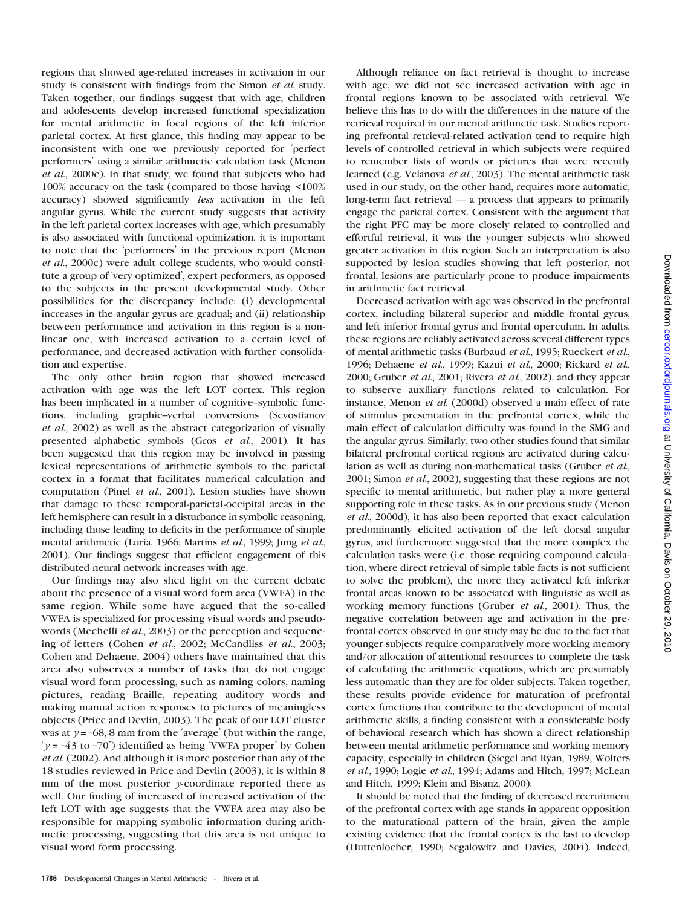regions that showed age-related increases in activation in our study is consistent with findings from the Simon et al. study. Taken together, our findings suggest that with age, children and adolescents develop increased functional specialization for mental arithmetic in focal regions of the left inferior parietal cortex. At first glance, this finding may appear to be inconsistent with one we previously reported for 'perfect performers' using a similar arithmetic calculation task (Menon et al., 2000c). In that study, we found that subjects who had 100% accuracy on the task (compared to those having <100% accuracy) showed significantly less activation in the left angular gyrus. While the current study suggests that activity in the left parietal cortex increases with age, which presumably is also associated with functional optimization, it is important to note that the 'performers' in the previous report (Menon et al., 2000c) were adult college students, who would constitute a group of 'very optimized', expert performers, as opposed to the subjects in the present developmental study. Other possibilities for the discrepancy include: (i) developmental increases in the angular gyrus are gradual; and (ii) relationship between performance and activation in this region is a nonlinear one, with increased activation to a certain level of performance, and decreased activation with further consolidation and expertise.

The only other brain region that showed increased activation with age was the left LOT cortex. This region has been implicated in a number of cognitive–symbolic functions, including graphic–verbal conversions (Sevostianov et al., 2002) as well as the abstract categorization of visually presented alphabetic symbols (Gros et al., 2001). It has been suggested that this region may be involved in passing lexical representations of arithmetic symbols to the parietal cortex in a format that facilitates numerical calculation and computation (Pinel et al., 2001). Lesion studies have shown that damage to these temporal-parietal-occipital areas in the left hemisphere can result in a disturbance in symbolic reasoning, including those leading to deficits in the performance of simple mental arithmetic (Luria, 1966; Martins et al., 1999; Jung et al., 2001). Our findings suggest that efficient engagement of this distributed neural network increases with age.

Our findings may also shed light on the current debate about the presence of a visual word form area (VWFA) in the same region. While some have argued that the so-called VWFA is specialized for processing visual words and pseudowords (Mechelli *et al.*, 2003) or the perception and sequencing of letters (Cohen et al., 2002; McCandliss et al., 2003; Cohen and Dehaene, 2004) others have maintained that this area also subserves a number of tasks that do not engage visual word form processing, such as naming colors, naming pictures, reading Braille, repeating auditory words and making manual action responses to pictures of meaningless objects (Price and Devlin, 2003). The peak of our LOT cluster was at  $y = -68$ , 8 mm from the 'average' (but within the range,  $y = -43$  to  $-70$ ) identified as being 'VWFA proper' by Cohen et al. (2002). And although it is more posterior than any of the 18 studies reviewed in Price and Devlin (2003), it is within 8 mm of the most posterior  $y$ -coordinate reported there as well. Our finding of increased of increased activation of the left LOT with age suggests that the VWFA area may also be responsible for mapping symbolic information during arithmetic processing, suggesting that this area is not unique to visual word form processing.

Although reliance on fact retrieval is thought to increase with age, we did not see increased activation with age in frontal regions known to be associated with retrieval. We believe this has to do with the differences in the nature of the retrieval required in our mental arithmetic task. Studies reporting prefrontal retrieval-related activation tend to require high levels of controlled retrieval in which subjects were required to remember lists of words or pictures that were recently learned (e.g. Velanova et al., 2003). The mental arithmetic task used in our study, on the other hand, requires more automatic, long-term fact retrieval — a process that appears to primarily engage the parietal cortex. Consistent with the argument that the right PFC may be more closely related to controlled and effortful retrieval, it was the younger subjects who showed greater activation in this region. Such an interpretation is also supported by lesion studies showing that left posterior, not frontal, lesions are particularly prone to produce impairments in arithmetic fact retrieval.

Decreased activation with age was observed in the prefrontal cortex, including bilateral superior and middle frontal gyrus, and left inferior frontal gyrus and frontal operculum. In adults, these regions are reliably activated across several different types of mental arithmetic tasks (Burbaud et al., 1995; Rueckert et al., 1996; Dehaene et al., 1999; Kazui et al., 2000; Rickard et al., 2000; Gruber et al., 2001; Rivera et al., 2002), and they appear to subserve auxiliary functions related to calculation. For instance, Menon et al. (2000d) observed a main effect of rate of stimulus presentation in the prefrontal cortex, while the main effect of calculation difficulty was found in the SMG and the angular gyrus. Similarly, two other studies found that similar bilateral prefrontal cortical regions are activated during calculation as well as during non-mathematical tasks (Gruber et al., 2001; Simon et al., 2002), suggesting that these regions are not specific to mental arithmetic, but rather play a more general supporting role in these tasks. As in our previous study (Menon et al., 2000d), it has also been reported that exact calculation predominantly elicited activation of the left dorsal angular gyrus, and furthermore suggested that the more complex the calculation tasks were (i.e. those requiring compound calculation, where direct retrieval of simple table facts is not sufficient to solve the problem), the more they activated left inferior frontal areas known to be associated with linguistic as well as working memory functions (Gruber et al., 2001). Thus, the negative correlation between age and activation in the prefrontal cortex observed in our study may be due to the fact that younger subjects require comparatively more working memory and/or allocation of attentional resources to complete the task of calculating the arithmetic equations, which are presumably less automatic than they are for older subjects. Taken together, these results provide evidence for maturation of prefrontal cortex functions that contribute to the development of mental arithmetic skills, a finding consistent with a considerable body of behavioral research which has shown a direct relationship between mental arithmetic performance and working memory capacity, especially in children (Siegel and Ryan, 1989; Wolters et al., 1990; Logie et al., 1994; Adams and Hitch, 1997; McLean and Hitch, 1999; Klein and Bisanz, 2000).

It should be noted that the finding of decreased recruitment of the prefrontal cortex with age stands in apparent opposition to the maturational pattern of the brain, given the ample existing evidence that the frontal cortex is the last to develop (Huttenlocher, 1990; Segalowitz and Davies, 2004). Indeed,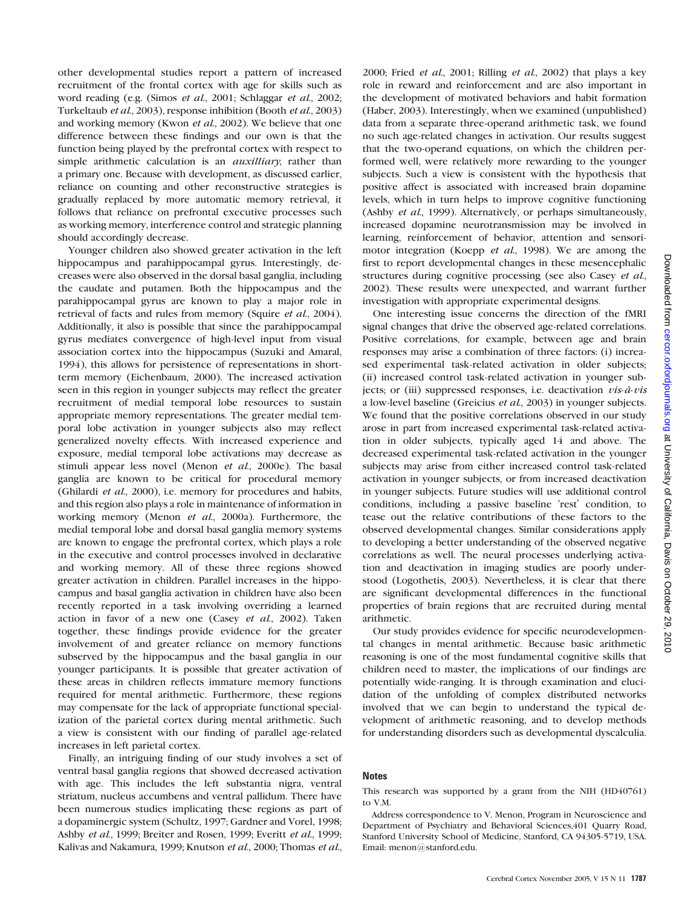other developmental studies report a pattern of increased recruitment of the frontal cortex with age for skills such as word reading (e.g. (Simos et al., 2001; Schlaggar et al., 2002; Turkeltaub et al., 2003), response inhibition (Booth et al., 2003) and working memory (Kwon et al., 2002). We believe that one difference between these findings and our own is that the function being played by the prefrontal cortex with respect to simple arithmetic calculation is an *auxilliary*, rather than a primary one. Because with development, as discussed earlier, reliance on counting and other reconstructive strategies is gradually replaced by more automatic memory retrieval, it follows that reliance on prefrontal executive processes such as working memory, interference control and strategic planning should accordingly decrease.

Younger children also showed greater activation in the left hippocampus and parahippocampal gyrus. Interestingly, decreases were also observed in the dorsal basal ganglia, including the caudate and putamen. Both the hippocampus and the parahippocampal gyrus are known to play a major role in retrieval of facts and rules from memory (Squire et al., 2004). Additionally, it also is possible that since the parahippocampal gyrus mediates convergence of high-level input from visual association cortex into the hippocampus (Suzuki and Amaral, 1994), this allows for persistence of representations in shortterm memory (Eichenbaum, 2000). The increased activation seen in this region in younger subjects may reflect the greater recruitment of medial temporal lobe resources to sustain appropriate memory representations. The greater medial temporal lobe activation in younger subjects also may reflect generalized novelty effects. With increased experience and exposure, medial temporal lobe activations may decrease as stimuli appear less novel (Menon et al., 2000e). The basal ganglia are known to be critical for procedural memory (Ghilardi et al., 2000), i.e. memory for procedures and habits, and this region also plays a role in maintenance of information in working memory (Menon et al., 2000a). Furthermore, the medial temporal lobe and dorsal basal ganglia memory systems are known to engage the prefrontal cortex, which plays a role in the executive and control processes involved in declarative and working memory. All of these three regions showed greater activation in children. Parallel increases in the hippocampus and basal ganglia activation in children have also been recently reported in a task involving overriding a learned action in favor of a new one (Casey et al., 2002). Taken together, these findings provide evidence for the greater involvement of and greater reliance on memory functions subserved by the hippocampus and the basal ganglia in our younger participants. It is possible that greater activation of these areas in children reflects immature memory functions required for mental arithmetic. Furthermore, these regions may compensate for the lack of appropriate functional specialization of the parietal cortex during mental arithmetic. Such a view is consistent with our finding of parallel age-related increases in left parietal cortex.

Finally, an intriguing finding of our study involves a set of ventral basal ganglia regions that showed decreased activation with age. This includes the left substantia nigra, ventral striatum, nucleus accumbens and ventral pallidum. There have been numerous studies implicating these regions as part of a dopaminergic system (Schultz, 1997; Gardner and Vorel, 1998; Ashby et al., 1999; Breiter and Rosen, 1999; Everitt et al., 1999; Kalivas and Nakamura, 1999; Knutson et al., 2000; Thomas et al., 2000; Fried et al., 2001; Rilling et al., 2002) that plays a key role in reward and reinforcement and are also important in the development of motivated behaviors and habit formation (Haber, 2003). Interestingly, when we examined (unpublished) data from a separate three-operand arithmetic task, we found no such age-related changes in activation. Our results suggest that the two-operand equations, on which the children performed well, were relatively more rewarding to the younger subjects. Such a view is consistent with the hypothesis that positive affect is associated with increased brain dopamine levels, which in turn helps to improve cognitive functioning (Ashby et al., 1999). Alternatively, or perhaps simultaneously, increased dopamine neurotransmission may be involved in learning, reinforcement of behavior, attention and sensorimotor integration (Koepp et al., 1998). We are among the first to report developmental changes in these mesencephalic structures during cognitive processing (see also Casey et al., 2002). These results were unexpected, and warrant further investigation with appropriate experimental designs.

One interesting issue concerns the direction of the fMRI signal changes that drive the observed age-related correlations. Positive correlations, for example, between age and brain responses may arise a combination of three factors: (i) increased experimental task-related activation in older subjects; (ii) increased control task-related activation in younger subjects; or (iii) suppressed responses, i.e. deactivation  $vis\hat{a}vis$ a low-level baseline (Greicius et al., 2003) in younger subjects. We found that the positive correlations observed in our study arose in part from increased experimental task-related activation in older subjects, typically aged 14 and above. The decreased experimental task-related activation in the younger subjects may arise from either increased control task-related activation in younger subjects, or from increased deactivation in younger subjects. Future studies will use additional control conditions, including a passive baseline 'rest' condition, to tease out the relative contributions of these factors to the observed developmental changes. Similar considerations apply to developing a better understanding of the observed negative correlations as well. The neural processes underlying activation and deactivation in imaging studies are poorly understood (Logothetis, 2003). Nevertheless, it is clear that there are significant developmental differences in the functional properties of brain regions that are recruited during mental arithmetic.

Our study provides evidence for specific neurodevelopmental changes in mental arithmetic. Because basic arithmetic reasoning is one of the most fundamental cognitive skills that children need to master, the implications of our findings are potentially wide-ranging. It is through examination and elucidation of the unfolding of complex distributed networks involved that we can begin to understand the typical development of arithmetic reasoning, and to develop methods for understanding disorders such as developmental dyscalculia.

## **Notes**

This research was supported by a grant from the NIH (HD40761) to V.M.

Address correspondence to V. Menon, Program in Neuroscience and Department of Psychiatry and Behavioral Sciences,401 Quarry Road, Stanford University School of Medicine, Stanford, CA 94305-5719, USA. Email: menon@stanford.edu.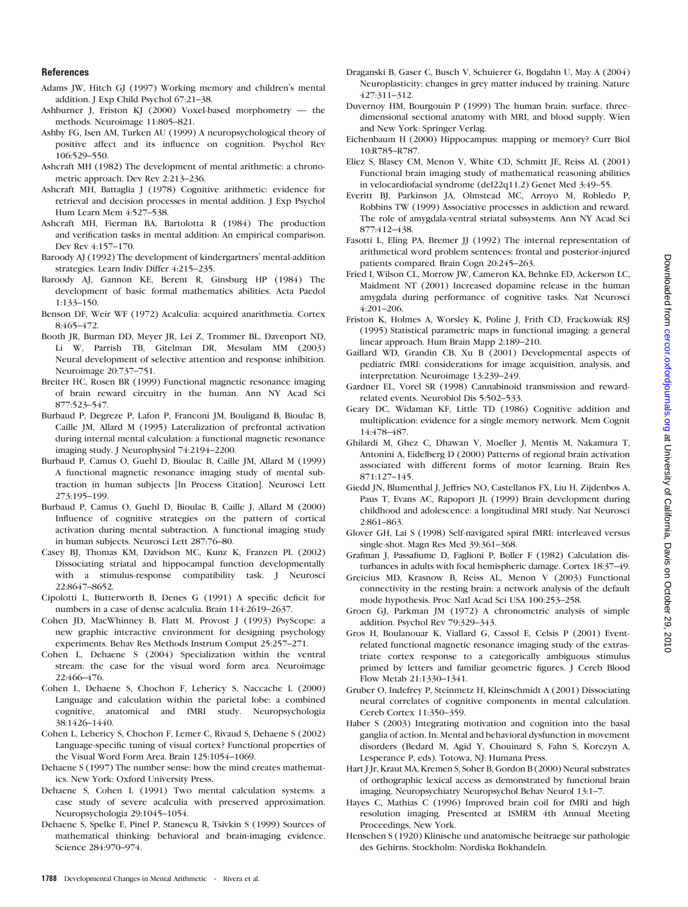## **References**

- Adams JW, Hitch GJ (1997) Working memory and children's mental addition. J Exp Child Psychol 67:21–38.
- Ashburner J, Friston KJ (2000) Voxel-based morphometry the methods. Neuroimage 11:805–821.
- Ashby FG, Isen AM, Turken AU (1999) A neuropsychological theory of positive affect and its influence on cognition. Psychol Rev 106:529–550.
- Ashcraft MH (1982) The development of mental arithmetic: a chronometric approach. Dev Rev 2:213–236.
- Ashcraft MH, Battaglia J (1978) Cognitive arithmetic: evidence for retrieval and decision processes in mental addition. J Exp Psychol Hum Learn Mem 4:527–538.
- Ashcraft MH, Fierman BA, Bartolotta R (1984) The production and verification tasks in mental addition: An empirical comparison. Dev Rev 4:157–170.
- Baroody AJ (1992) The development of kindergartners' mental-addition strategies. Learn Indiv Differ 4:215–235.
- Baroody AJ, Gannon KE, Berent R, Ginsburg HP (1984) The development of basic formal mathematics abilities. Acta Paedol 1:133–150.
- Benson DF, Weir WF (1972) Acalculia: acquired anarithmetia. Cortex 8:465–472.
- Booth JR, Burman DD, Meyer JR, Lei Z, Trommer BL, Davenport ND, Li W, Parrish TB, Gitelman DR, Mesulam MM (2003) Neural development of selective attention and response inhibition. Neuroimage 20:737–751.
- Breiter HC, Rosen BR (1999) Functional magnetic resonance imaging of brain reward circuitry in the human. Ann NY Acad Sci 877:523–547.
- Burbaud P, Degreze P, Lafon P, Franconi JM, Bouligand B, Bioulac B, Caille JM, Allard M (1995) Lateralization of prefrontal activation during internal mental calculation: a functional magnetic resonance imaging study. J Neurophysiol 74:2194–2200.
- Burbaud P, Camus O, Guehl D, Bioulac B, Caille JM, Allard M (1999) A functional magnetic resonance imaging study of mental subtraction in human subjects [In Process Citation]. Neurosci Lett 273:195–199.
- Burbaud P, Camus O, Guehl D, Bioulac B, Caille J, Allard M (2000) Influence of cognitive strategies on the pattern of cortical activation during mental subtraction. A functional imaging study in human subjects. Neurosci Lett 287:76–80.
- Casey BJ, Thomas KM, Davidson MC, Kunz K, Franzen PL (2002) Dissociating striatal and hippocampal function developmentally with a stimulus-response compatibility task. J Neurosci 22:8647–8652.
- Cipolotti L, Butterworth B, Denes G (1991) A specific deficit for numbers in a case of dense acalculia. Brain 114:2619–2637.
- Cohen JD, MacWhinney B, Flatt M, Provost J (1993) PsyScope: a new graphic interactive environment for designing psychology experiments. Behav Res Methods Instrum Comput 25:257–271.
- Cohen L, Dehaene S (2004) Specialization within the ventral stream: the case for the visual word form area. Neuroimage 22:466–476.
- Cohen L, Dehaene S, Chochon F, Lehericy S, Naccache L (2000) Language and calculation within the parietal lobe: a combined cognitive, anatomical and fMRI study. Neuropsychologia 38:1426–1440.
- Cohen L, Lehericy S, Chochon F, Lemer C, Rivaud S, Dehaene S (2002) Language-specific tuning of visual cortex? Functional properties of the Visual Word Form Area. Brain 125:1054–1069.
- Dehaene S (1997) The number sense: how the mind creates mathematics. New York: Oxford University Press.
- Dehaene S, Cohen L (1991) Two mental calculation systems: a case study of severe acalculia with preserved approximation. Neuropsychologia 29:1045–1054.
- Dehaene S, Spelke E, Pinel P, Stanescu R, Tsivkin S (1999) Sources of mathematical thinking: behavioral and brain-imaging evidence. Science 284:970–974.
- Draganski B, Gaser C, Busch V, Schuierer G, Bogdahn U, May A (2004) Neuroplasticity: changes in grey matter induced by training. Nature 427:311–312.
- Duvernoy HM, Bourgouin P (1999) The human brain: surface, threedimensional sectional anatomy with MRI, and blood supply. Wien and New York: Springer Verlag.
- Eichenbaum H (2000) Hippocampus: mapping or memory? Curr Biol 10:R785–R787.
- Eliez S, Blasey CM, Menon V, White CD, Schmitt JE, Reiss AL (2001) Functional brain imaging study of mathematical reasoning abilities in velocardiofacial syndrome (del22q11.2) Genet Med 3:49–55.
- Everitt BJ, Parkinson JA, Olmstead MC, Arroyo M, Robledo P, Robbins TW (1999) Associative processes in addiction and reward. The role of amygdala-ventral striatal subsystems. Ann NY Acad Sci 877:412–438.
- Fasotti L, Eling PA, Bremer JJ (1992) The internal representation of arithmetical word problem sentences: frontal and posterior-injured patients compared. Brain Cogn 20:245–263.
- Fried I, Wilson CL, Morrow JW, Cameron KA, Behnke ED, Ackerson LC, Maidment NT (2001) Increased dopamine release in the human amygdala during performance of cognitive tasks. Nat Neurosci 4:201–206.
- Friston K, Holmes A, Worsley K, Poline J, Frith CD, Frackowiak RSJ (1995) Statistical parametric maps in functional imaging: a general linear approach. Hum Brain Mapp 2:189–210.
- Gaillard WD, Grandin CB, Xu B (2001) Developmental aspects of pediatric fMRI: considerations for image acquisition, analysis, and interpretation. Neuroimage 13:239–249.
- Gardner EL, Vorel SR (1998) Cannabinoid transmission and rewardrelated events. Neurobiol Dis 5:502–533.
- Geary DC, Widaman KF, Little TD (1986) Cognitive addition and multiplication: evidence for a single memory network. Mem Cognit 14:478–487.
- Ghilardi M, Ghez C, Dhawan V, Moeller J, Mentis M, Nakamura T, Antonini A, Eidelberg D (2000) Patterns of regional brain activation associated with different forms of motor learning. Brain Res 871:127–145.
- Giedd JN, Blumenthal J, Jeffries NO, Castellanos FX, Liu H, Zijdenbos A, Paus T, Evans AC, Rapoport JL (1999) Brain development during childhood and adolescence: a longitudinal MRI study. Nat Neurosci 2:861–863.
- Glover GH, Lai S (1998) Self-navigated spiral fMRI: interleaved versus single-shot. Magn Res Med 39:361–368.
- Grafman J, Passafiume D, Faglioni P, Boller F (1982) Calculation disturbances in adults with focal hemispheric damage. Cortex 18:37–49.
- Greicius MD, Krasnow B, Reiss AL, Menon V (2003) Functional connectivity in the resting brain: a network analysis of the default mode hypothesis. Proc Natl Acad Sci USA 100:253–258.
- Groen GJ, Parkman JM (1972) A chronometric analysis of simple addition. Psychol Rev 79:329–343.
- Gros H, Boulanouar K, Viallard G, Cassol E, Celsis P (2001) Eventrelated functional magnetic resonance imaging study of the extrastriate cortex response to a categorically ambiguous stimulus primed by letters and familiar geometric figures. J Cereb Blood Flow Metab 21:1330–1341.
- Gruber O, Indefrey P, Steinmetz H, Kleinschmidt A (2001) Dissociating neural correlates of cognitive components in mental calculation. Cereb Cortex 11:350–359.
- Haber S (2003) Integrating motivation and cognition into the basal ganglia of action. In: Mental and behavioral dysfunction in movement disorders (Bedard M, Agid Y, Chouinard S, Fahn S, Korczyn A, Lesperance P, eds). Totowa, NJ: Humana Press.
- Hart J Jr, Kraut MA, Kremen S, Soher B, Gordon B (2000) Neural substrates of orthographic lexical access as demonstrated by functional brain imaging. Neuropsychiatry Neuropsychol Behav Neurol 13:1–7.
- Hayes C, Mathias C (1996) Improved brain coil for fMRI and high resolution imaging. Presented at ISMRM 4th Annual Meeting Proceedings, New York.
- Henschen S (1920) Klinische und anatomische beitraege sur pathologie des Gehirns. Stockholm: Nordiska Bokhandeln.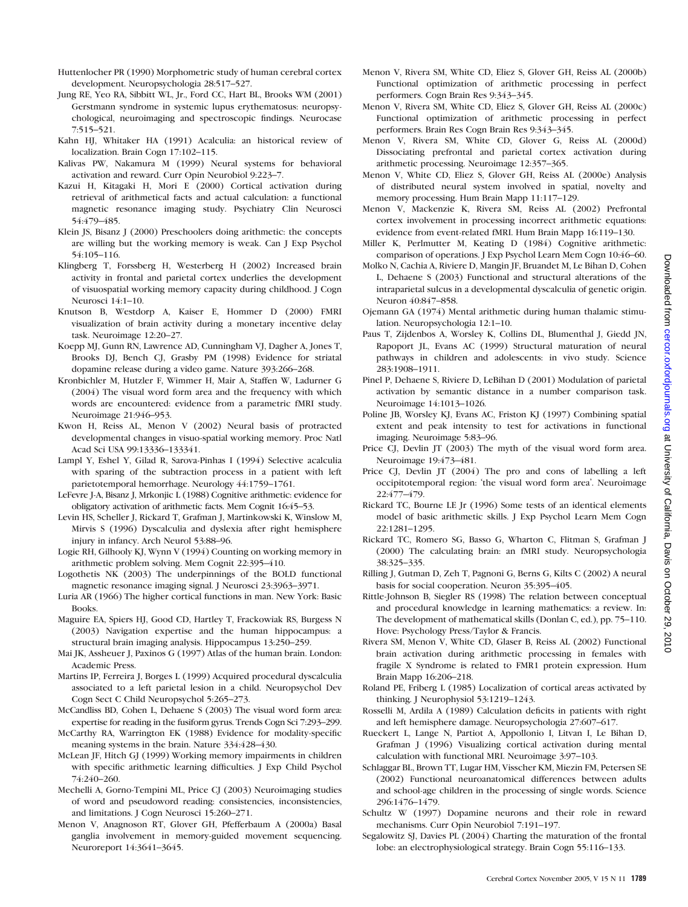- Huttenlocher PR (1990) Morphometric study of human cerebral cortex development. Neuropsychologia 28:517–527.
- Jung RE, Yeo RA, Sibbitt WL, Jr., Ford CC, Hart BL, Brooks WM (2001) Gerstmann syndrome in systemic lupus erythematosus: neuropsychological, neuroimaging and spectroscopic findings. Neurocase 7:515–521.
- Kahn HJ, Whitaker HA (1991) Acalculia: an historical review of localization. Brain Cogn 17:102–115.
- Kalivas PW, Nakamura M (1999) Neural systems for behavioral activation and reward. Curr Opin Neurobiol 9:223–7.
- Kazui H, Kitagaki H, Mori E (2000) Cortical activation during retrieval of arithmetical facts and actual calculation: a functional magnetic resonance imaging study. Psychiatry Clin Neurosci 54:479–485.
- Klein JS, Bisanz J (2000) Preschoolers doing arithmetic: the concepts are willing but the working memory is weak. Can J Exp Psychol 54:105–116.
- Klingberg T, Forssberg H, Westerberg H (2002) Increased brain activity in frontal and parietal cortex underlies the development of visuospatial working memory capacity during childhood. J Cogn Neurosci 14:1–10.
- Knutson B, Westdorp A, Kaiser E, Hommer D (2000) FMRI visualization of brain activity during a monetary incentive delay task. Neuroimage 12:20–27.
- Koepp MJ, Gunn RN, Lawrence AD, Cunningham VJ, Dagher A, Jones T, Brooks DJ, Bench CJ, Grasby PM (1998) Evidence for striatal dopamine release during a video game. Nature 393:266–268.
- Kronbichler M, Hutzler F, Wimmer H, Mair A, Staffen W, Ladurner G (2004) The visual word form area and the frequency with which words are encountered: evidence from a parametric fMRI study. Neuroimage 21:946–953.
- Kwon H, Reiss AL, Menon V (2002) Neural basis of protracted developmental changes in visuo-spatial working memory. Proc Natl Acad Sci USA 99:13336–133341.
- Lampl Y, Eshel Y, Gilad R, Sarova-Pinhas I (1994) Selective acalculia with sparing of the subtraction process in a patient with left parietotemporal hemorrhage. Neurology 44:1759–1761.
- LeFevre J-A, Bisanz J, Mrkonjic L (1988) Cognitive arithmetic: evidence for obligatory activation of arithmetic facts. Mem Cognit 16:45–53.
- Levin HS, Scheller J, Rickard T, Grafman J, Martinkowski K, Winslow M, Mirvis S (1996) Dyscalculia and dyslexia after right hemisphere injury in infancy. Arch Neurol 53:88–96.
- Logie RH, Gilhooly KJ, Wynn V (1994) Counting on working memory in arithmetic problem solving. Mem Cognit 22:395–410.
- Logothetis NK (2003) The underpinnings of the BOLD functional magnetic resonance imaging signal. J Neurosci 23:3963–3971.
- Luria AR (1966) The higher cortical functions in man. New York: Basic Books.
- Maguire EA, Spiers HJ, Good CD, Hartley T, Frackowiak RS, Burgess N (2003) Navigation expertise and the human hippocampus: a structural brain imaging analysis. Hippocampus 13:250–259.
- Mai JK, Assheuer J, Paxinos G (1997) Atlas of the human brain. London: Academic Press.
- Martins IP, Ferreira J, Borges L (1999) Acquired procedural dyscalculia associated to a left parietal lesion in a child. Neuropsychol Dev Cogn Sect C Child Neuropsychol 5:265–273.
- McCandliss BD, Cohen L, Dehaene S (2003) The visual word form area: expertise for reading in the fusiform gyrus. Trends Cogn Sci 7:293–299.
- McCarthy RA, Warrington EK (1988) Evidence for modality-specific meaning systems in the brain. Nature 334:428–430.
- McLean JF, Hitch GJ (1999) Working memory impairments in children with specific arithmetic learning difficulties. J Exp Child Psychol 74:240–260.
- Mechelli A, Gorno-Tempini ML, Price CJ (2003) Neuroimaging studies of word and pseudoword reading: consistencies, inconsistencies, and limitations. J Cogn Neurosci 15:260–271.
- Menon V, Anagnoson RT, Glover GH, Pfefferbaum A (2000a) Basal ganglia involvement in memory-guided movement sequencing. Neuroreport 14:3641–3645.
- Menon V, Rivera SM, White CD, Eliez S, Glover GH, Reiss AL (2000b) Functional optimization of arithmetic processing in perfect performers. Cogn Brain Res 9:343–345.
- Menon V, Rivera SM, White CD, Eliez S, Glover GH, Reiss AL (2000c) Functional optimization of arithmetic processing in perfect performers. Brain Res Cogn Brain Res 9:343–345.
- Menon V, Rivera SM, White CD, Glover G, Reiss AL (2000d) Dissociating prefrontal and parietal cortex activation during arithmetic processing. Neuroimage 12:357–365.
- Menon V, White CD, Eliez S, Glover GH, Reiss AL (2000e) Analysis of distributed neural system involved in spatial, novelty and memory processing. Hum Brain Mapp 11:117–129.
- Menon V, Mackenzie K, Rivera SM, Reiss AL (2002) Prefrontal cortex involvement in processing incorrect arithmetic equations: evidence from event-related fMRI. Hum Brain Mapp 16:119–130.
- Miller K, Perlmutter M, Keating D (1984) Cognitive arithmetic: comparison of operations. J Exp Psychol Learn Mem Cogn 10:46–60.
- Molko N, Cachia A, Riviere D, Mangin JF, Bruandet M, Le Bihan D, Cohen L, Dehaene S (2003) Functional and structural alterations of the intraparietal sulcus in a developmental dyscalculia of genetic origin. Neuron 40:847–858.
- Ojemann GA (1974) Mental arithmetic during human thalamic stimulation. Neuropsychologia 12:1–10.
- Paus T, Zijdenbos A, Worsley K, Collins DL, Blumenthal J, Giedd JN, Rapoport JL, Evans AC (1999) Structural maturation of neural pathways in children and adolescents: in vivo study. Science 283:1908–1911.
- Pinel P, Dehaene S, Riviere D, LeBihan D (2001) Modulation of parietal activation by semantic distance in a number comparison task. Neuroimage 14:1013–1026.
- Poline JB, Worsley KJ, Evans AC, Friston KJ (1997) Combining spatial extent and peak intensity to test for activations in functional imaging. Neuroimage 5:83–96.
- Price CJ, Devlin JT (2003) The myth of the visual word form area. Neuroimage 19:473–481.
- Price CJ, Devlin JT (2004) The pro and cons of labelling a left occipitotemporal region: 'the visual word form area'. Neuroimage 22:477–479.
- Rickard TC, Bourne LE Jr (1996) Some tests of an identical elements model of basic arithmetic skills. J Exp Psychol Learn Mem Cogn 22:1281–1295.
- Rickard TC, Romero SG, Basso G, Wharton C, Flitman S, Grafman J (2000) The calculating brain: an fMRI study. Neuropsychologia 38:325–335.
- Rilling J, Gutman D, Zeh T, Pagnoni G, Berns G, Kilts C (2002) A neural basis for social cooperation. Neuron 35:395–405.
- Rittle-Johnson B, Siegler RS (1998) The relation between conceptual and procedural knowledge in learning mathematics: a review. In: The development of mathematical skills (Donlan C, ed.), pp. 75–110. Hove: Psychology Press/Taylor & Francis.
- Rivera SM, Menon V, White CD, Glaser B, Reiss AL (2002) Functional brain activation during arithmetic processing in females with fragile X Syndrome is related to FMR1 protein expression. Hum Brain Mapp 16:206–218.
- Roland PE, Friberg L (1985) Localization of cortical areas activated by thinking. J Neurophysiol 53:1219–1243.
- Rosselli M, Ardila A (1989) Calculation deficits in patients with right and left hemisphere damage. Neuropsychologia 27:607–617.
- Rueckert L, Lange N, Partiot A, Appollonio I, Litvan I, Le Bihan D, Grafman J (1996) Visualizing cortical activation during mental calculation with functional MRI. Neuroimage 3:97–103.
- Schlaggar BL, Brown TT, Lugar HM, Visscher KM, Miezin FM, Petersen SE (2002) Functional neuroanatomical differences between adults and school-age children in the processing of single words. Science 296:1476–1479.
- Schultz W (1997) Dopamine neurons and their role in reward mechanisms. Curr Opin Neurobiol 7:191–197.
- Segalowitz SJ, Davies PL (2004) Charting the maturation of the frontal lobe: an electrophysiological strategy. Brain Cogn 55:116–133.